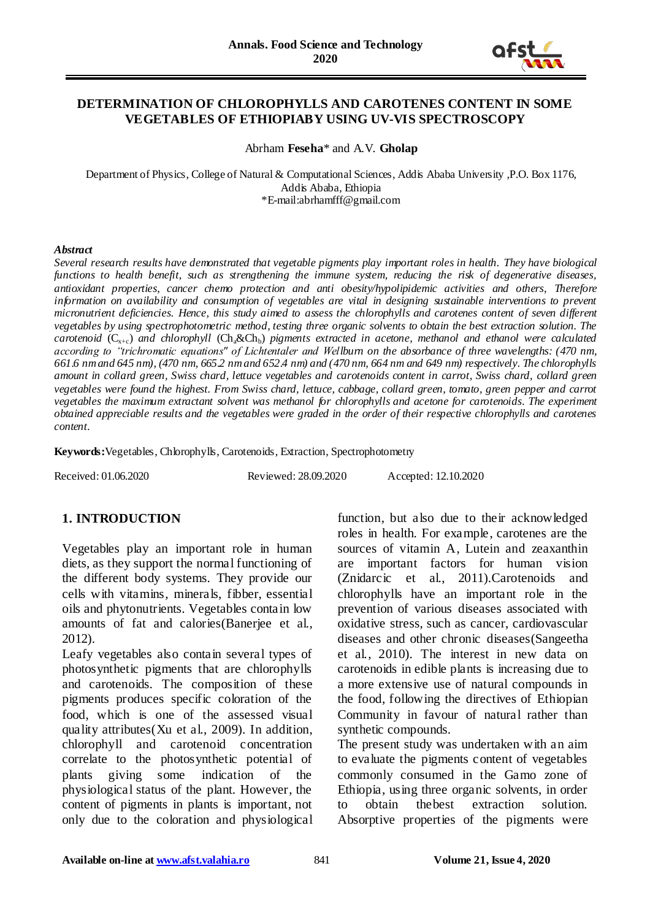

### **DETERMINATION OF CHLOROPHYLLS AND CAROTENES CONTENT IN SOME VEGETABLES OF ETHIOPIABY USING UV-VIS SPECTROSCOPY**

Abrham **Feseha**\* and A.V. **Gholap**

Department of Physics, College of Natural & Computational Sciences, Addis Ababa University ,P.O. Box 1176, Addis Ababa, Ethiopia \*E-mail:abrhamfff@gmail.com

#### *Abstract*

*Several research results have demonstrated that vegetable pigments play important roles in health. They have biological functions to health benefit, such as strengthening the immune system, reducing the risk of degenerative diseases, antioxidant properties, cancer chemo protection and anti obesity/hypolipidemic activities and others*, *Therefore*  information on availability and consumption of vegetables are vital in designing sustainable interventions to prevent *micronutrient deficiencies. Hence, this study aimed to assess the chlorophylls and carotenes content of seven different vegetables by using spectrophotometric method, testing three organic solvents to obtain the best extraction solution. The carotenoid*  $(C_{x+c})$  *and chlorophyll*  $(Ch_a\&Ch_b)$  *pigments extracted in acetone, methanol and ethanol were calculated according to "trichromatic equations" of Lichtentaler and Wellburn on the absorbance of three wavelengths: (470 nm, 661.6 nm and 645 nm), (470 nm, 665.2 nm and 652.4 nm) and (470 nm, 664 nm and 649 nm) respectively. The chlorophylls amount in collard green, Swiss chard, lettuce vegetables and carotenoids content in carrot, Swiss chard, collard green vegetables were found the highest. From Swiss chard, lettuce, cabbage, collard green, tomato, green pepper and carrot vegetables the maximum extractant solvent was methanol for chlorophylls and acetone for carotenoids. The experiment obtained appreciable results and the vegetables were graded in the order of their respective chlorophylls and carotenes content.*

**Keywords:**Vegetables, Chlorophylls, Carotenoids, Extraction, Spectrophotometry

Received: 01.06.2020 Reviewed: 28.09.2020 Accepted: 12.10.2020

### **1. INTRODUCTION**

Vegetables play an important role in human diets, as they support the normal functioning of the different body systems. They provide our cells with vitamins, minerals, fibber, essential oils and phytonutrients. Vegetables contain low amounts of fat and calories(Banerjee et al., 2012).

Leafy vegetables also contain several types of photosynthetic pigments that are chlorophylls and carotenoids. The composition of these pigments produces specific coloration of the food, which is one of the assessed visual quality attributes(Xu et al., 2009). In addition, chlorophyll and carotenoid concentration correlate to the photosynthetic potential of plants giving some indication of the physiological status of the plant. However, the content of pigments in plants is important, not only due to the coloration and physiological

function, but also due to their acknowledged roles in health. For example, carotenes are the sources of vitamin A, Lutein and zeaxanthin are important factors for human vision (Znidarcic et al., 2011).Carotenoids and chlorophylls have an important role in the prevention of various diseases associated with oxidative stress, such as cancer, cardiovascular diseases and other chronic diseases(Sangeetha et al., 2010). The interest in new data on carotenoids in edible plants is increasing due to a more extensive use of natural compounds in the food, following the directives of Ethiopian Community in favour of natural rather than synthetic compounds.

The present study was undertaken with an aim to evaluate the pigments content of vegetables commonly consumed in the Gamo zone of Ethiopia, using three organic solvents, in order to obtain thebest extraction solution. Absorptive properties of the pigments were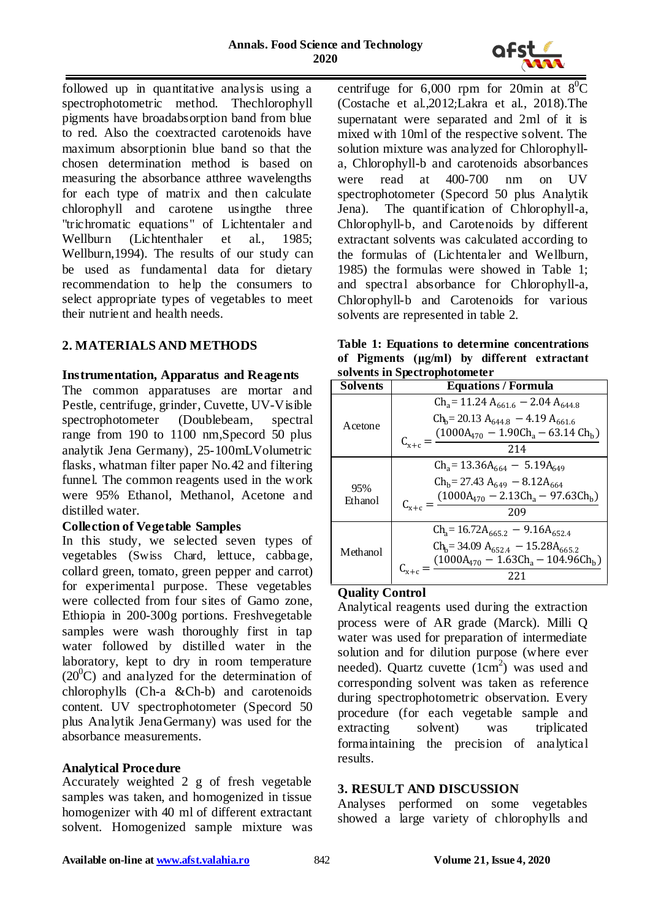

followed up in quantitative analysis using a spectrophotometric method. Thechlorophyll pigments have broadabsorption band from blue to red. Also the coextracted carotenoids have maximum absorptionin blue band so that the chosen determination method is based on measuring the absorbance atthree wavelengths for each type of matrix and then calculate chlorophyll and carotene usingthe three "trichromatic equations" of Lichtentaler and Wellburn (Lichtenthaler et al., 1985; Wellburn,1994). The results of our study can be used as fundamental data for dietary recommendation to help the consumers to select appropriate types of vegetables to meet their nutrient and health needs.

# **2. MATERIALS AND METHODS**

### **Instrumentation, Apparatus and Reagents**

The common apparatuses are mortar and Pestle, centrifuge, grinder, Cuvette, UV-Visible spectrophotometer (Doublebeam, spectral range from 190 to 1100 nm,Specord 50 plus analytik Jena Germany), 25-100mLVolumetric flasks, whatman filter paper No.42 and filtering funnel. The common reagents used in the work were 95% Ethanol, Methanol, Acetone and distilled water.

### **Collection of Vegetable Samples**

In this study, we selected seven types of vegetables (Swiss Chard, lettuce, cabbage, collard green, tomato, green pepper and carrot) for experimental purpose. These vegetables were collected from four sites of Gamo zone, Ethiopia in 200-300g portions. Freshvegetable samples were wash thoroughly first in tap water followed by distilled water in the laboratory, kept to dry in room temperature  $(20^0C)$  and analyzed for the determination of chlorophylls (Ch-a &Ch-b) and carotenoids content. UV spectrophotometer (Specord 50 plus Analytik JenaGermany) was used for the absorbance measurements.

### **Analytical Procedure**

Accurately weighted 2 g of fresh vegetable samples was taken, and homogenized in tissue homogenizer with 40 ml of different extractant solvent. Homogenized sample mixture was

centrifuge for 6,000 rpm for 20min at  $8^0C$ (Costache et al.,2012;Lakra et al., 2018).The supernatant were separated and 2ml of it is mixed with 10ml of the respective solvent. The solution mixture was analyzed for Chlorophylla, Chlorophyll-b and carotenoids absorbances were read at 400-700 nm on UV spectrophotometer (Specord 50 plus Analytik Jena). The quantification of Chlorophyll-a, Chlorophyll-b, and Carotenoids by different extractant solvents was calculated according to the formulas of (Lichtentaler and Wellburn, 1985) the formulas were showed in Table 1; and spectral absorbance for Chlorophyll-a, Chlorophyll-b and Carotenoids for various solvents are represented in table 2.

**Table 1: Equations to determine concentrations of Pigments (μg/ml) by different extractant solvents in Spectrophotometer** 

| sorvents in opeen ophorome ter |                                                                       |  |  |  |  |  |  |  |
|--------------------------------|-----------------------------------------------------------------------|--|--|--|--|--|--|--|
| <b>Solvents</b>                | <b>Equations / Formula</b>                                            |  |  |  |  |  |  |  |
|                                | $\text{Ch}_a = 11.24 \text{ A}_{661.6} - 2.04 \text{ A}_{644.8}$      |  |  |  |  |  |  |  |
| Acetone                        | $Ch_b = 20.13 A_{644.8} - 4.19 A_{661.6}$                             |  |  |  |  |  |  |  |
|                                | $(1000A470 - 1.90Cha - 63.14 Chb)$                                    |  |  |  |  |  |  |  |
|                                | $C_{x+c} =$<br>214                                                    |  |  |  |  |  |  |  |
|                                | $\text{Ch}_a = 13.36\text{A}_{664} - 5.19\text{A}_{649}$              |  |  |  |  |  |  |  |
| 95%<br>Ethanol                 | $\text{Ch}_{\text{b}} = 27.43 \text{ A}_{649} - 8.12 \text{ A}_{664}$ |  |  |  |  |  |  |  |
|                                | $(1000A470 - 2.13Cha - 97.63Chb)$                                     |  |  |  |  |  |  |  |
|                                | $C_{x+c} =$<br>209                                                    |  |  |  |  |  |  |  |
|                                | $\text{Ch}_a = 16.72\text{A}_{665.2} - 9.16\text{A}_{652.4}$          |  |  |  |  |  |  |  |
| Methanol                       | $Ch_b = 34.09 A_{652.4} - 15.28A_{665.2}$                             |  |  |  |  |  |  |  |
|                                | $(1000A_{470} - 1.63Ch_a - 104.96Ch_b)$                               |  |  |  |  |  |  |  |
|                                | 221                                                                   |  |  |  |  |  |  |  |
|                                |                                                                       |  |  |  |  |  |  |  |

### **Quality Control**

Analytical reagents used during the extraction process were of AR grade (Marck). Milli Q water was used for preparation of intermediate solution and for dilution purpose (where ever needed). Quartz cuvette  $(1cm<sup>2</sup>)$  was used and corresponding solvent was taken as reference during spectrophotometric observation. Every procedure (for each vegetable sample and extracting solvent) was triplicated formaintaining the precision of analytical results.

### **3. RESULT AND DISCUSSION**

Analyses performed on some vegetables showed a large variety of chlorophylls and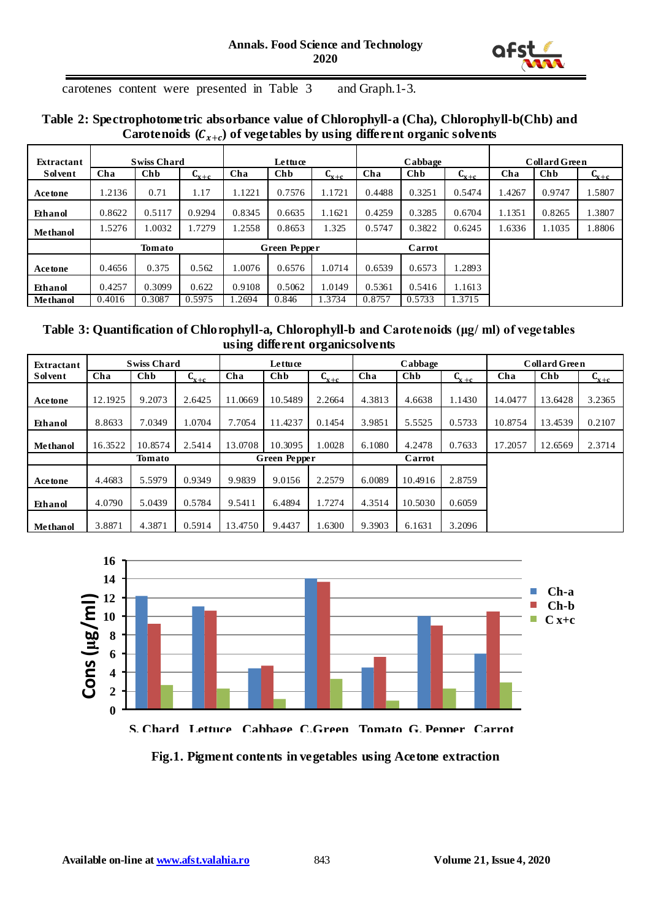

carotenes content were presented in Table 3 and Graph.1-3.

# **Table 2: Spectrophotometric absorbance value of Chlorophyll-a (Cha), Chlorophyll-b(Chb) and**  Carotenoids  $(C_{x+c})$  of vegetables by using different organic solvents

| Extractant      | <b>Swiss Chard</b> |            |           | Lettuce             |        |           | Cabbage |        |           | <b>Collard Green</b> |        |           |
|-----------------|--------------------|------------|-----------|---------------------|--------|-----------|---------|--------|-----------|----------------------|--------|-----------|
| <b>Solvent</b>  | Cha                | <b>Chb</b> | $C_{x+c}$ | Cha                 | Chb    | $L_{x+c}$ | Cha     | Chb    | $C_{x+c}$ | Cha                  | Chb    | $C_{x+c}$ |
| Acetone         | 1.2136             | 0.71       | 1.17      | 1.1221              | 0.7576 | 1.1721    | 0.4488  | 0.3251 | 0.5474    | 1.4267               | 0.9747 | 1.5807    |
| Ethanol         | 0.8622             | 0.5117     | 0.9294    | 0.8345              | 0.6635 | 1.1621    | 0.4259  | 0.3285 | 0.6704    | 1.1351               | 0.8265 | 1.3807    |
| Methanol        | 1.5276             | 1.0032     | .7279     | .2558               | 0.8653 | 1.325     | 0.5747  | 0.3822 | 0.6245    | 1.6336               | 1.1035 | 1.8806    |
|                 | <b>Tomato</b>      |            |           | <b>Green Pepper</b> |        |           | Carrot  |        |           |                      |        |           |
| Acetone         | 0.4656             | 0.375      | 0.562     | 1.0076              | 0.6576 | 1.0714    | 0.6539  | 0.6573 | 1.2893    |                      |        |           |
| Ethanol         | 0.4257             | 0.3099     | 0.622     | 0.9108              | 0.5062 | 1.0149    | 0.5361  | 0.5416 | 1.1613    |                      |        |           |
| <b>Methanol</b> | 0.4016             | 0.3087     | 0.5975    | .2694               | 0.846  | 1.3734    | 0.8757  | 0.5733 | 1.3715    |                      |        |           |

### **Table 3: Quantification of Chlorophyll-a, Chlorophyll-b and Carotenoids (μg/ ml) of vegetables using different organicsolvents**

| Extractant      | <b>Swiss Chard</b> |         |           | Lettuce             |         |           | Cabbage |            |           | <b>Collard Green</b> |            |           |
|-----------------|--------------------|---------|-----------|---------------------|---------|-----------|---------|------------|-----------|----------------------|------------|-----------|
| <b>Solvent</b>  | Cha                | Chb     | $L_{x+c}$ | Cha                 | Chb     | $C_{x+c}$ | Cha     | <b>Chb</b> | $C_{x+c}$ | Cha                  | <b>Chb</b> | $C_{x+c}$ |
| <b>Acetone</b>  | 12.1925            | 9.2073  | 2.6425    | 11.0669             | 10.5489 | 2.2664    | 4.3813  | 4.6638     | 1.1430    | 14.0477              | 13.6428    | 3.2365    |
| Ethanol         | 8.8633             | 7.0349  | 1.0704    | 7.7054              | 11.4237 | 0.1454    | 3.9851  | 5.5525     | 0.5733    | 10.8754              | 13.4539    | 0.2107    |
| <b>Methanol</b> | 16.3522            | 10.8574 | 2.5414    | 13.0708             | 10.3095 | 1.0028    | 6.1080  | 4.2478     | 0.7633    | 17.2057              | 12.6569    | 2.3714    |
|                 | Tomato             |         |           | <b>Green Pepper</b> |         |           | Carrot  |            |           |                      |            |           |
| Acetone         | 4.4683             | 5.5979  | 0.9349    | 9.9839              | 9.0156  | 2.2579    | 6.0089  | 10.4916    | 2.8759    |                      |            |           |
| Ethanol         | 4.0790             | 5.0439  | 0.5784    | 9.5411              | 6.4894  | 1.7274    | 4.3514  | 10.5030    | 0.6059    |                      |            |           |
| <b>Methanol</b> | 3.8871             | 4.3871  | 0.5914    | 13.4750             | 9.4437  | 1.6300    | 9.3903  | 6.1631     | 3.2096    |                      |            |           |



**Fig.1. Pigment contents in vegetables using Acetone extraction**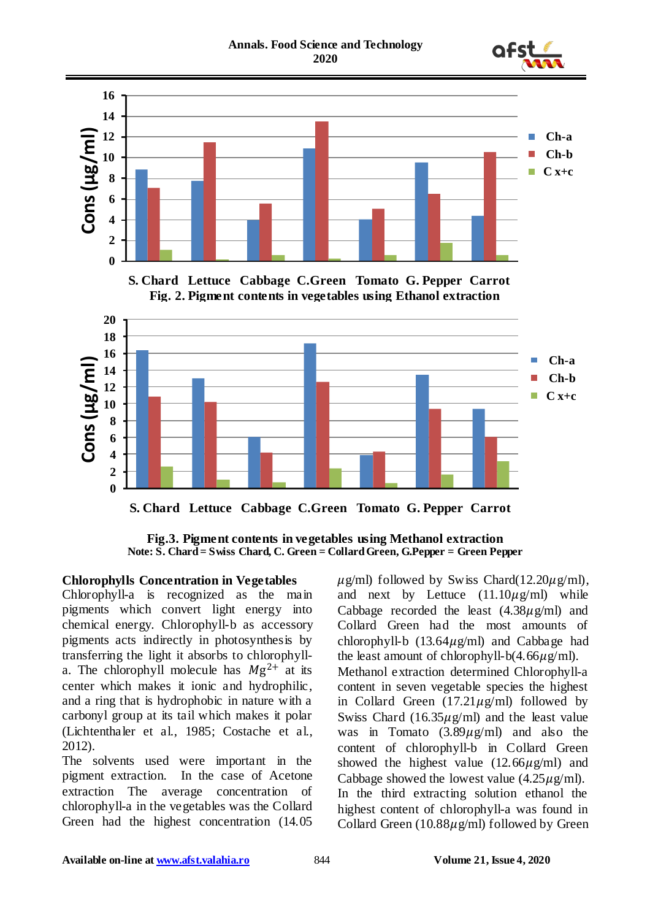



**S. Chard Lettuce Cabbage C.Green Tomato G. Pepper Carrot**

**Fig.3. Pigment contents in vegetables using Methanol extraction Note: S. Chard = Swiss Chard, C. Green = Collard Green, G.Pepper = Green Pepper**

### **Chlorophylls Concentration in Vegetables**

Chlorophyll-a is recognized as the main pigments which convert light energy into chemical energy. Chlorophyll-b as accessory pigments acts indirectly in photosynthesis by transferring the light it absorbs to chlorophylla. The chlorophyll molecule has  $Mg^{2+}$  at its center which makes it ionic and hydrophilic, and a ring that is hydrophobic in nature with a carbonyl group at its tail which makes it polar (Lichtenthaler et al., 1985; Costache et al., 2012).

The solvents used were important in the pigment extraction. In the case of Acetone extraction The average concentration of chlorophyll-a in the vegetables was the Collard Green had the highest concentration (14.05  $\mu$ g/ml) followed by Swiss Chard(12.20 $\mu$ g/ml), and next by Lettuce  $(11.10\mu\text{g/ml})$  while Cabbage recorded the least  $(4.38\mu\text{g/mL})$  and Collard Green had the most amounts of chlorophyll-b  $(13.64\mu g/ml)$  and Cabbage had the least amount of chlorophyll-b(4.66 $\mu$ g/ml). Methanol extraction determined Chlorophyll-a content in seven vegetable species the highest in Collard Green  $(17.21 \mu g/ml)$  followed by Swiss Chard  $(16.35\mu g/ml)$  and the least value was in Tomato  $(3.89\mu g/ml)$  and also the content of chlorophyll-b in Collard Green showed the highest value  $(12.66\mu\text{g/ml})$  and Cabbage showed the lowest value  $(4.25 \mu g/ml)$ . In the third extracting solution ethanol the highest content of chlorophyll-a was found in Collard Green (10.88 $\mu$ g/ml) followed by Green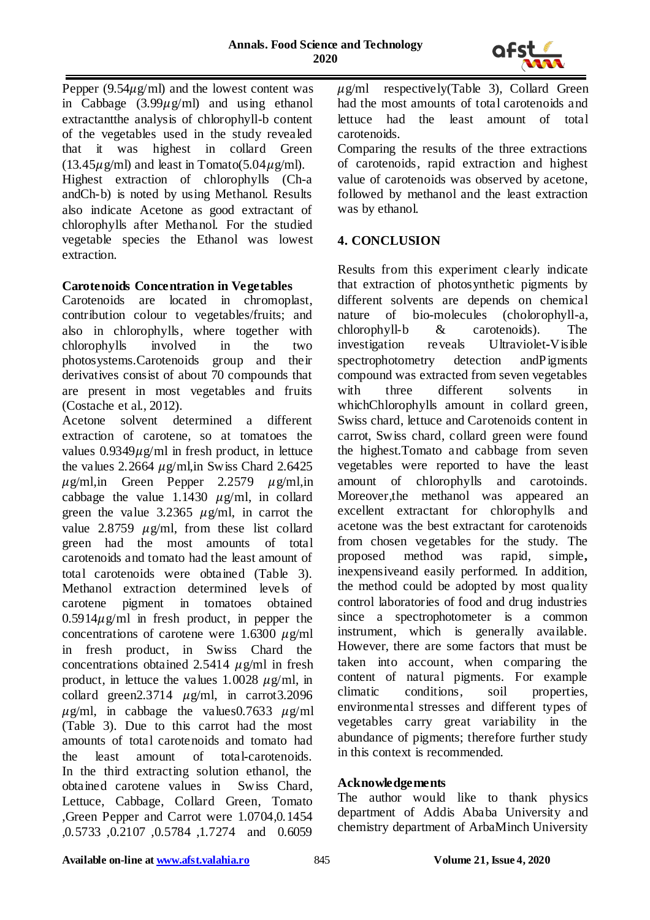

Pepper  $(9.54\mu g/ml)$  and the lowest content was in Cabbage  $(3.99 \mu g/ml)$  and using ethanol extractantthe analysis of chlorophyll-b content of the vegetables used in the study revealed that it was highest in collard Green  $(13.45\mu\text{g/ml})$  and least in Tomato(5.04 $\mu\text{g/ml}$ ). Highest extraction of chlorophylls (Ch-a andCh-b) is noted by using Methanol. Results also indicate Acetone as good extractant of chlorophylls after Methanol. For the studied vegetable species the Ethanol was lowest extraction.

### **Carotenoids Concentration in Vegetables**

Carotenoids are located in chromoplast, contribution colour to vegetables/fruits; and also in chlorophylls, where together with chlorophylls involved in the two photosystems.Carotenoids group and their derivatives consist of about 70 compounds that are present in most vegetables and fruits (Costache et al., 2012).

Acetone solvent determined a different extraction of carotene, so at tomatoes the values  $0.9349\mu g/ml$  in fresh product, in lettuce the values 2.2664  $\mu$ g/ml, in Swiss Chard 2.6425  $\mu$ g/ml,in Green Pepper 2.2579  $\mu$ g/ml,in cabbage the value 1.1430  $\mu$ g/ml, in collard green the value 3.2365  $\mu$ g/ml, in carrot the value 2.8759  $\mu$ g/ml, from these list collard green had the most amounts of total carotenoids and tomato had the least amount of total carotenoids were obtained (Table 3). Methanol extraction determined levels of carotene pigment in tomatoes obtained  $0.5914\mu$ g/ml in fresh product, in pepper the concentrations of carotene were 1.6300  $\mu$ g/ml in fresh product, in Swiss Chard the concentrations obtained 2.5414  $\mu$ g/ml in fresh product, in lettuce the values 1.0028  $\mu$ g/ml, in collard green2.3714  $\mu$ g/ml, in carrot3.2096  $\mu$ g/ml, in cabbage the values0.7633  $\mu$ g/ml (Table 3). Due to this carrot had the most amounts of total carotenoids and tomato had the least amount of total-carotenoids. In the third extracting solution ethanol, the obtained carotene values in Swiss Chard, Lettuce, Cabbage, Collard Green, Tomato ,Green Pepper and Carrot were 1.0704,0.1454 ,0.5733 ,0.2107 ,0.5784 ,1.7274 and 0.6059

 $\mu$ g/ml respectively(Table 3), Collard Green had the most amounts of total carotenoids and lettuce had the least amount of total carotenoids.

Comparing the results of the three extractions of carotenoids, rapid extraction and highest value of carotenoids was observed by acetone, followed by methanol and the least extraction was by ethanol.

## **4. CONCLUSION**

Results from this experiment clearly indicate that extraction of photosynthetic pigments by different solvents are depends on chemical nature of bio-molecules (cholorophyll-a, chlorophyll-b & carotenoids). The investigation reveals Ultraviolet**-**Visible spectrophotometry detection andPigments compound was extracted from seven vegetables with three different solvents in whichChlorophylls amount in collard green, Swiss chard, lettuce and Carotenoids content in carrot, Swiss chard, collard green were found the highest.Tomato and cabbage from seven vegetables were reported to have the least amount of chlorophylls and carotoinds. Moreover,the methanol was appeared an excellent extractant for chlorophylls and acetone was the best extractant for carotenoids from chosen vegetables for the study. The proposed method was rapid, simple**,**  inexpensiveand easily performed*.* In addition*,*  the method could be adopted by most quality control laboratories of food and drug industries since a spectrophotometer is a common instrument, which is generally available. However, there are some factors that must be taken into account, when comparing the content of natural pigments. For example climatic conditions, soil properties, environmental stresses and different types of vegetables carry great variability in the abundance of pigments; therefore further study in this context is recommended.

## **Acknowledgements**

The author would like to thank physics department of Addis Ababa University and chemistry department of ArbaMinch University